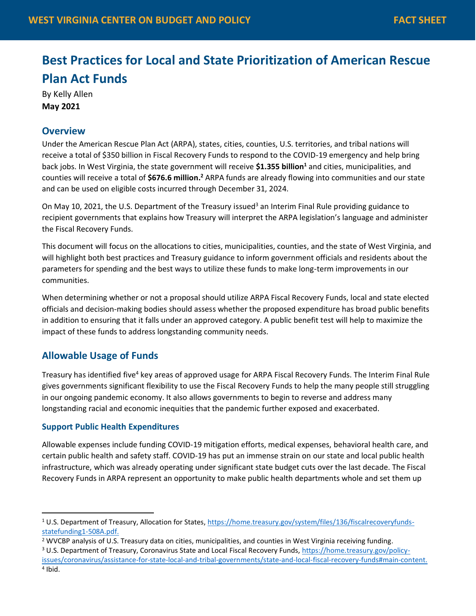# **Best Practices for Local and State Prioritization of American Rescue Plan Act Funds**

By Kelly Allen **May 2021**

## **Overview**

Under the American Rescue Plan Act (ARPA), states, cities, counties, U.S. territories, and tribal nations will receive a total of \$350 billion in Fiscal Recovery Funds to respond to the COVID-19 emergency and help bring back jobs. In West Virginia, the state government will receive **\$1.355 billion<sup>1</sup>** and cities, municipalities, and counties will receive a total of \$676.6 million.<sup>2</sup> ARPA funds are already flowing into communities and our state and can be used on eligible costs incurred through December 31, 2024.

On May 10, 2021, the U.S. Department of the Treasury issued<sup>3</sup> an Interim Final Rule providing guidance to recipient governments that explains how Treasury will interpret the ARPA legislation's language and administer the Fiscal Recovery Funds.

This document will focus on the allocations to cities, municipalities, counties, and the state of West Virginia, and will highlight both best practices and Treasury guidance to inform government officials and residents about the parameters for spending and the best ways to utilize these funds to make long-term improvements in our communities.

When determining whether or not a proposal should utilize ARPA Fiscal Recovery Funds, local and state elected officials and decision-making bodies should assess whether the proposed expenditure has broad public benefits in addition to ensuring that it falls under an approved category. A public benefit test will help to maximize the impact of these funds to address longstanding community needs.

# **Allowable Usage of Funds**

Treasury has identified five<sup>4</sup> key areas of approved usage for ARPA Fiscal Recovery Funds. The Interim Final Rule gives governments significant flexibility to use the Fiscal Recovery Funds to help the many people still struggling in our ongoing pandemic economy. It also allows governments to begin to reverse and address many longstanding racial and economic inequities that the pandemic further exposed and exacerbated.

#### **Support Public Health Expenditures**

Allowable expenses include funding COVID-19 mitigation efforts, medical expenses, behavioral health care, and certain public health and safety staff. COVID-19 has put an immense strain on our state and local public health infrastructure, which was already operating under significant state budget cuts over the last decade. The Fiscal Recovery Funds in ARPA represent an opportunity to make public health departments whole and set them up

<sup>1</sup> U.S. Department of Treasury, Allocation for States, [https://home.treasury.gov/system/files/136/fiscalrecoveryfunds](https://home.treasury.gov/system/files/136/fiscalrecoveryfunds-statefunding1-508A.pdf)[statefunding1-508A.pdf.](https://home.treasury.gov/system/files/136/fiscalrecoveryfunds-statefunding1-508A.pdf)

<sup>2</sup> WVCBP analysis of U.S. Treasury data on cities, municipalities, and counties in West Virginia receiving funding.

<sup>&</sup>lt;sup>3</sup> U.S. Department of Treasury, Coronavirus State and Local Fiscal Recovery Funds[, https://home.treasury.gov/policy](https://home.treasury.gov/policy-issues/coronavirus/assistance-for-state-local-and-tribal-governments/state-and-local-fiscal-recovery-funds#main-content)[issues/coronavirus/assistance-for-state-local-and-tribal-governments/state-and-local-fiscal-recovery-funds#main-content.](https://home.treasury.gov/policy-issues/coronavirus/assistance-for-state-local-and-tribal-governments/state-and-local-fiscal-recovery-funds#main-content)

<sup>4</sup> Ibid.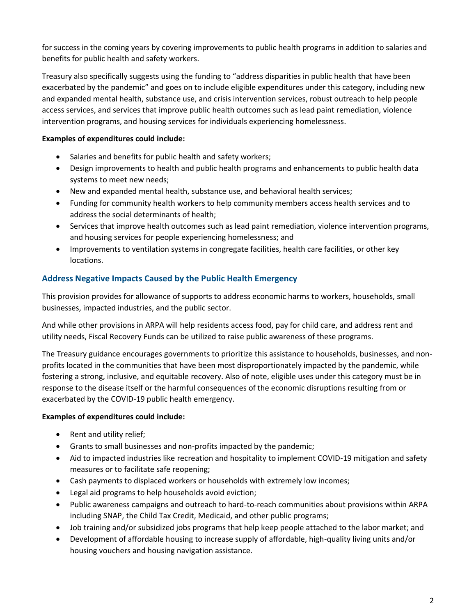for success in the coming years by covering improvements to public health programs in addition to salaries and benefits for public health and safety workers.

Treasury also specifically suggests using the funding to "address disparities in public health that have been exacerbated by the pandemic" and goes on to include eligible expenditures under this category, including new and expanded mental health, substance use, and crisis intervention services, robust outreach to help people access services, and services that improve public health outcomes such as lead paint remediation, violence intervention programs, and housing services for individuals experiencing homelessness.

## **Examples of expenditures could include:**

- Salaries and benefits for public health and safety workers;
- Design improvements to health and public health programs and enhancements to public health data systems to meet new needs;
- New and expanded mental health, substance use, and behavioral health services;
- Funding for community health workers to help community members access health services and to address the social determinants of health;
- Services that improve health outcomes such as lead paint remediation, violence intervention programs, and housing services for people experiencing homelessness; and
- Improvements to ventilation systems in congregate facilities, health care facilities, or other key locations.

## **Address Negative Impacts Caused by the Public Health Emergency**

This provision provides for allowance of supports to address economic harms to workers, households, small businesses, impacted industries, and the public sector.

And while other provisions in ARPA will help residents access food, pay for child care, and address rent and utility needs, Fiscal Recovery Funds can be utilized to raise public awareness of these programs.

The Treasury guidance encourages governments to prioritize this assistance to households, businesses, and nonprofits located in the communities that have been most disproportionately impacted by the pandemic, while fostering a strong, inclusive, and equitable recovery. Also of note, eligible uses under this category must be in response to the disease itself or the harmful consequences of the economic disruptions resulting from or exacerbated by the COVID-19 public health emergency.

#### **Examples of expenditures could include:**

- Rent and utility relief;
- Grants to small businesses and non-profits impacted by the pandemic;
- Aid to impacted industries like recreation and hospitality to implement COVID-19 mitigation and safety measures or to facilitate safe reopening;
- Cash payments to displaced workers or households with extremely low incomes;
- Legal aid programs to help households avoid eviction;
- Public awareness campaigns and outreach to hard-to-reach communities about provisions within ARPA including SNAP, the Child Tax Credit, Medicaid, and other public programs;
- Job training and/or subsidized jobs programs that help keep people attached to the labor market; and
- Development of affordable housing to increase supply of affordable, high-quality living units and/or housing vouchers and housing navigation assistance.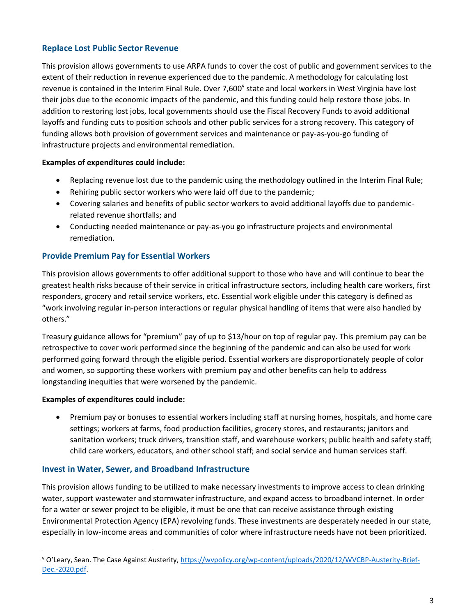## **Replace Lost Public Sector Revenue**

This provision allows governments to use ARPA funds to cover the cost of public and government services to the extent of their reduction in revenue experienced due to the pandemic. A methodology for calculating lost revenue is contained in the Interim Final Rule. Over 7,600<sup>5</sup> state and local workers in West Virginia have lost their jobs due to the economic impacts of the pandemic, and this funding could help restore those jobs. In addition to restoring lost jobs, local governments should use the Fiscal Recovery Funds to avoid additional layoffs and funding cuts to position schools and other public services for a strong recovery. This category of funding allows both provision of government services and maintenance or pay-as-you-go funding of infrastructure projects and environmental remediation.

#### **Examples of expenditures could include:**

- Replacing revenue lost due to the pandemic using the methodology outlined in the Interim Final Rule;
- Rehiring public sector workers who were laid off due to the pandemic;
- Covering salaries and benefits of public sector workers to avoid additional layoffs due to pandemicrelated revenue shortfalls; and
- Conducting needed maintenance or pay-as-you go infrastructure projects and environmental remediation.

#### **Provide Premium Pay for Essential Workers**

This provision allows governments to offer additional support to those who have and will continue to bear the greatest health risks because of their service in critical infrastructure sectors, including health care workers, first responders, grocery and retail service workers, etc. Essential work eligible under this category is defined as "work involving regular in-person interactions or regular physical handling of items that were also handled by others."

Treasury guidance allows for "premium" pay of up to \$13/hour on top of regular pay. This premium pay can be retrospective to cover work performed since the beginning of the pandemic and can also be used for work performed going forward through the eligible period. Essential workers are disproportionately people of color and women, so supporting these workers with premium pay and other benefits can help to address longstanding inequities that were worsened by the pandemic.

#### **Examples of expenditures could include:**

• Premium pay or bonuses to essential workers including staff at nursing homes, hospitals, and home care settings; workers at farms, food production facilities, grocery stores, and restaurants; janitors and sanitation workers; truck drivers, transition staff, and warehouse workers; public health and safety staff; child care workers, educators, and other school staff; and social service and human services staff.

#### **Invest in Water, Sewer, and Broadband Infrastructure**

This provision allows funding to be utilized to make necessary investments to improve access to clean drinking water, support wastewater and stormwater infrastructure, and expand access to broadband internet. In order for a water or sewer project to be eligible, it must be one that can receive assistance through existing Environmental Protection Agency (EPA) revolving funds. These investments are desperately needed in our state, especially in low-income areas and communities of color where infrastructure needs have not been prioritized.

<sup>5</sup> O'Leary, Sean. The Case Against Austerity, [https://wvpolicy.org/wp-content/uploads/2020/12/WVCBP-Austerity-Brief-](https://wvpolicy.org/wp-content/uploads/2020/12/WVCBP-Austerity-Brief-Dec.-2020.pdf)[Dec.-2020.pdf.](https://wvpolicy.org/wp-content/uploads/2020/12/WVCBP-Austerity-Brief-Dec.-2020.pdf)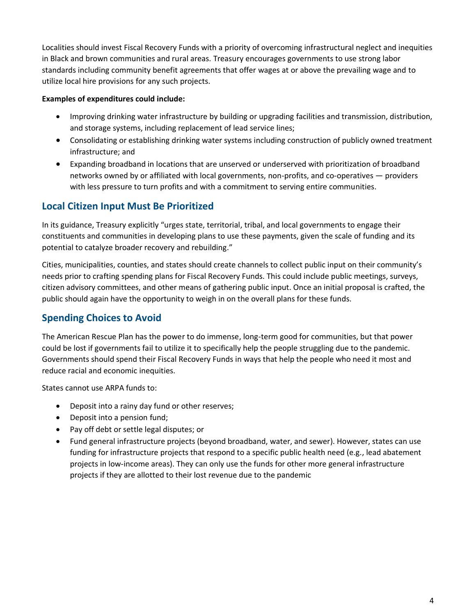Localities should invest Fiscal Recovery Funds with a priority of overcoming infrastructural neglect and inequities in Black and brown communities and rural areas. Treasury encourages governments to use strong labor standards including community benefit agreements that offer wages at or above the prevailing wage and to utilize local hire provisions for any such projects.

#### **Examples of expenditures could include:**

- Improving drinking water infrastructure by building or upgrading facilities and transmission, distribution, and storage systems, including replacement of lead service lines;
- Consolidating or establishing drinking water systems including construction of publicly owned treatment infrastructure; and
- Expanding broadband in locations that are unserved or underserved with prioritization of broadband networks owned by or affiliated with local governments, non-profits, and co-operatives — providers with less pressure to turn profits and with a commitment to serving entire communities.

# **Local Citizen Input Must Be Prioritized**

In its guidance, Treasury explicitly "urges state, territorial, tribal, and local governments to engage their constituents and communities in developing plans to use these payments, given the scale of funding and its potential to catalyze broader recovery and rebuilding."

Cities, municipalities, counties, and states should create channels to collect public input on their community's needs prior to crafting spending plans for Fiscal Recovery Funds. This could include public meetings, surveys, citizen advisory committees, and other means of gathering public input. Once an initial proposal is crafted, the public should again have the opportunity to weigh in on the overall plans for these funds.

# **Spending Choices to Avoid**

The American Rescue Plan has the power to do immense, long-term good for communities, but that power could be lost if governments fail to utilize it to specifically help the people struggling due to the pandemic. Governments should spend their Fiscal Recovery Funds in ways that help the people who need it most and reduce racial and economic inequities.

States cannot use ARPA funds to:

- Deposit into a rainy day fund or other reserves;
- Deposit into a pension fund;
- Pay off debt or settle legal disputes; or
- Fund general infrastructure projects (beyond broadband, water, and sewer). However, states can use funding for infrastructure projects that respond to a specific public health need (e.g., lead abatement projects in low-income areas). They can only use the funds for other more general infrastructure projects if they are allotted to their lost revenue due to the pandemic